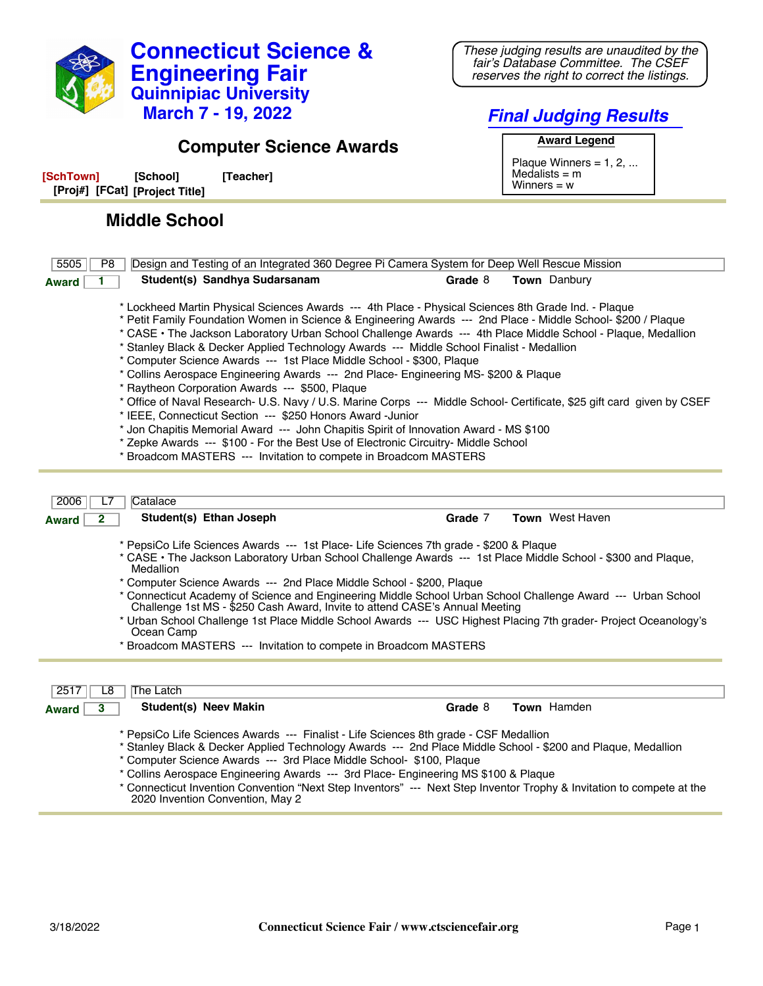

*Final Judging Results* **Award Legend** Plaque Winners =  $1, 2, ...$ 

Medalists = m Winners = w

## **Computer Science Awards**

| [SchTown]                      | [School] | [Teacher] |
|--------------------------------|----------|-----------|
| [Proj#] [FCat] [Project Title] |          |           |

## **Middle School**

| 5505<br>Design and Testing of an Integrated 360 Degree Pi Camera System for Deep Well Rescue Mission<br>P <sub>8</sub>                                                                                                                                                                                                                                                                                                                                                                                                                                                                                                                                                                                                                                                                                                                                                                                                                                                                                                                                                                             |         |  |                     |
|----------------------------------------------------------------------------------------------------------------------------------------------------------------------------------------------------------------------------------------------------------------------------------------------------------------------------------------------------------------------------------------------------------------------------------------------------------------------------------------------------------------------------------------------------------------------------------------------------------------------------------------------------------------------------------------------------------------------------------------------------------------------------------------------------------------------------------------------------------------------------------------------------------------------------------------------------------------------------------------------------------------------------------------------------------------------------------------------------|---------|--|---------------------|
| Student(s) Sandhya Sudarsanam<br><b>Award</b>                                                                                                                                                                                                                                                                                                                                                                                                                                                                                                                                                                                                                                                                                                                                                                                                                                                                                                                                                                                                                                                      | Grade 8 |  | <b>Town</b> Danbury |
| * Lockheed Martin Physical Sciences Awards --- 4th Place - Physical Sciences 8th Grade Ind. - Plaque<br>* Petit Family Foundation Women in Science & Engineering Awards --- 2nd Place - Middle School- \$200 / Plaque<br>* CASE · The Jackson Laboratory Urban School Challenge Awards --- 4th Place Middle School - Plaque, Medallion<br>* Stanley Black & Decker Applied Technology Awards --- Middle School Finalist - Medallion<br>* Computer Science Awards --- 1st Place Middle School - \$300, Plaque<br>* Collins Aerospace Engineering Awards --- 2nd Place- Engineering MS- \$200 & Plaque<br>* Raytheon Corporation Awards --- \$500, Plaque<br>* Office of Naval Research- U.S. Navy / U.S. Marine Corps --- Middle School- Certificate, \$25 gift card given by CSEF<br>* IEEE, Connecticut Section --- \$250 Honors Award -Junior<br>* Jon Chapitis Memorial Award --- John Chapitis Spirit of Innovation Award - MS \$100<br>* Zepke Awards --- \$100 - For the Best Use of Electronic Circuitry- Middle School<br>* Broadcom MASTERS --- Invitation to compete in Broadcom MASTERS |         |  |                     |
|                                                                                                                                                                                                                                                                                                                                                                                                                                                                                                                                                                                                                                                                                                                                                                                                                                                                                                                                                                                                                                                                                                    |         |  |                     |
| 2006<br>Catalace<br>۱7                                                                                                                                                                                                                                                                                                                                                                                                                                                                                                                                                                                                                                                                                                                                                                                                                                                                                                                                                                                                                                                                             |         |  |                     |
| Student(s) Ethan Joseph<br>2<br><b>Award</b>                                                                                                                                                                                                                                                                                                                                                                                                                                                                                                                                                                                                                                                                                                                                                                                                                                                                                                                                                                                                                                                       | Grade 7 |  | Town West Haven     |
|                                                                                                                                                                                                                                                                                                                                                                                                                                                                                                                                                                                                                                                                                                                                                                                                                                                                                                                                                                                                                                                                                                    |         |  |                     |
| * PepsiCo Life Sciences Awards --- 1st Place- Life Sciences 7th grade - \$200 & Plaque<br>* CASE • The Jackson Laboratory Urban School Challenge Awards --- 1st Place Middle School - \$300 and Plaque,<br>Medallion<br>* Computer Science Awards --- 2nd Place Middle School - \$200, Plaque                                                                                                                                                                                                                                                                                                                                                                                                                                                                                                                                                                                                                                                                                                                                                                                                      |         |  |                     |
| * Connecticut Academy of Science and Engineering Middle School Urban School Challenge Award --- Urban School<br>Challenge 1st MS - \$250 Cash Award, Invite to attend CASE's Annual Meeting                                                                                                                                                                                                                                                                                                                                                                                                                                                                                                                                                                                                                                                                                                                                                                                                                                                                                                        |         |  |                     |
| * Urban School Challenge 1st Place Middle School Awards --- USC Highest Placing 7th grader- Project Oceanology's<br>Ocean Camp                                                                                                                                                                                                                                                                                                                                                                                                                                                                                                                                                                                                                                                                                                                                                                                                                                                                                                                                                                     |         |  |                     |
| * Broadcom MASTERS --- Invitation to compete in Broadcom MASTERS                                                                                                                                                                                                                                                                                                                                                                                                                                                                                                                                                                                                                                                                                                                                                                                                                                                                                                                                                                                                                                   |         |  |                     |
| The Latch<br>2517<br>L8<br><b>Student(s) Neev Makin</b>                                                                                                                                                                                                                                                                                                                                                                                                                                                                                                                                                                                                                                                                                                                                                                                                                                                                                                                                                                                                                                            |         |  | Town Hamden         |
| 3<br><b>Award</b>                                                                                                                                                                                                                                                                                                                                                                                                                                                                                                                                                                                                                                                                                                                                                                                                                                                                                                                                                                                                                                                                                  | Grade 8 |  |                     |
| * PepsiCo Life Sciences Awards --- Finalist - Life Sciences 8th grade - CSF Medallion<br>* Stanley Black & Decker Applied Technology Awards --- 2nd Place Middle School - \$200 and Plaque, Medallion<br>* Computer Science Awards --- 3rd Place Middle School- \$100, Plaque<br>$\overline{a}$ ii $\overline{a}$ ii $\overline{a}$ in $\overline{a}$ in $\overline{a}$ in $\overline{a}$ in $\overline{a}$ if $\overline{a}$ is a subsequently in $\overline{a}$                                                                                                                                                                                                                                                                                                                                                                                                                                                                                                                                                                                                                                  |         |  |                     |

- Collins Aerospace Engineering Awards --- 3rd Place- Engineering MS \$100 & Plaque \* Connecticut Invention Convention "Next Step Inventors" --- Next Step Inventor Trophy & Invitation to compete at the
	- 2020 Invention Convention, May 2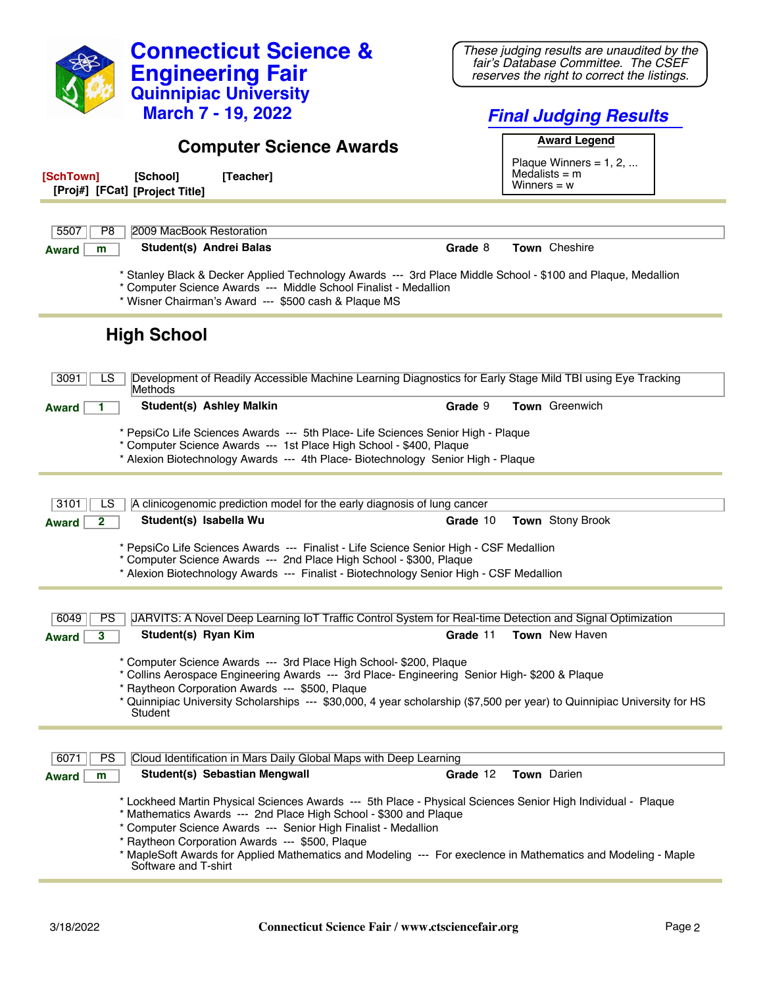| <b>Connecticut Science &amp;</b>                                                                                                                                                                                                                                                                                                                                                                                                                | These judging results are unaudited by the<br>fair's Database Committee. The CSEF |  |  |  |
|-------------------------------------------------------------------------------------------------------------------------------------------------------------------------------------------------------------------------------------------------------------------------------------------------------------------------------------------------------------------------------------------------------------------------------------------------|-----------------------------------------------------------------------------------|--|--|--|
| <b>Engineering Fair</b>                                                                                                                                                                                                                                                                                                                                                                                                                         | reserves the right to correct the listings.                                       |  |  |  |
| <b>Quinnipiac University</b><br><b>March 7 - 19, 2022</b>                                                                                                                                                                                                                                                                                                                                                                                       |                                                                                   |  |  |  |
|                                                                                                                                                                                                                                                                                                                                                                                                                                                 | <b>Final Judging Results</b>                                                      |  |  |  |
| <b>Computer Science Awards</b>                                                                                                                                                                                                                                                                                                                                                                                                                  | <b>Award Legend</b>                                                               |  |  |  |
| [SchTown]<br>[Teacher]<br>[School]                                                                                                                                                                                                                                                                                                                                                                                                              | Plaque Winners = $1, 2, $<br>Medalists $=$ m                                      |  |  |  |
| [Proj#] [FCat] [Project Title]                                                                                                                                                                                                                                                                                                                                                                                                                  | Winners = $w$                                                                     |  |  |  |
|                                                                                                                                                                                                                                                                                                                                                                                                                                                 |                                                                                   |  |  |  |
| 5507<br>P <sub>8</sub><br>2009 MacBook Restoration                                                                                                                                                                                                                                                                                                                                                                                              |                                                                                   |  |  |  |
| Student(s) Andrei Balas<br><b>Award</b><br>m                                                                                                                                                                                                                                                                                                                                                                                                    | Town Cheshire<br>Grade 8                                                          |  |  |  |
| * Stanley Black & Decker Applied Technology Awards --- 3rd Place Middle School - \$100 and Plaque, Medallion<br>* Computer Science Awards --- Middle School Finalist - Medallion<br>* Wisner Chairman's Award --- \$500 cash & Plaque MS                                                                                                                                                                                                        |                                                                                   |  |  |  |
| <b>High School</b>                                                                                                                                                                                                                                                                                                                                                                                                                              |                                                                                   |  |  |  |
| Development of Readily Accessible Machine Learning Diagnostics for Early Stage Mild TBI using Eye Tracking<br>3091<br>LS.<br>Methods                                                                                                                                                                                                                                                                                                            |                                                                                   |  |  |  |
| <b>Student(s) Ashley Malkin</b><br>Award                                                                                                                                                                                                                                                                                                                                                                                                        | <b>Town</b> Greenwich<br>Grade 9                                                  |  |  |  |
| * PepsiCo Life Sciences Awards --- 5th Place- Life Sciences Senior High - Plaque<br>* Computer Science Awards --- 1st Place High School - \$400, Plaque<br>* Alexion Biotechnology Awards --- 4th Place- Biotechnology Senior High - Plaque                                                                                                                                                                                                     |                                                                                   |  |  |  |
| 3101<br>A clinicogenomic prediction model for the early diagnosis of lung cancer<br>LS                                                                                                                                                                                                                                                                                                                                                          |                                                                                   |  |  |  |
| Student(s) Isabella Wu<br>2<br><b>Award</b>                                                                                                                                                                                                                                                                                                                                                                                                     | Town Stony Brook<br>Grade 10                                                      |  |  |  |
| * PepsiCo Life Sciences Awards --- Finalist - Life Science Senior High - CSF Medallion<br>* Computer Science Awards --- 2nd Place High School - \$300, Plaque                                                                                                                                                                                                                                                                                   |                                                                                   |  |  |  |
| * Alexion Biotechnology Awards --- Finalist - Biotechnology Senior High - CSF Medallion                                                                                                                                                                                                                                                                                                                                                         |                                                                                   |  |  |  |
|                                                                                                                                                                                                                                                                                                                                                                                                                                                 |                                                                                   |  |  |  |
| JARVITS: A Novel Deep Learning IoT Traffic Control System for Real-time Detection and Signal Optimization<br>PS<br>6049                                                                                                                                                                                                                                                                                                                         |                                                                                   |  |  |  |
| Student(s) Ryan Kim<br>3<br><b>Award</b>                                                                                                                                                                                                                                                                                                                                                                                                        | Town New Haven<br>Grade 11                                                        |  |  |  |
| * Computer Science Awards --- 3rd Place High School- \$200, Plaque<br>* Collins Aerospace Engineering Awards --- 3rd Place- Engineering Senior High- \$200 & Plaque<br>* Raytheon Corporation Awards --- \$500, Plaque<br>* Quinnipiac University Scholarships --- \$30,000, 4 year scholarship (\$7,500 per year) to Quinnipiac University for HS<br>Student                                                                                   |                                                                                   |  |  |  |
|                                                                                                                                                                                                                                                                                                                                                                                                                                                 |                                                                                   |  |  |  |
| Cloud Identification in Mars Daily Global Maps with Deep Learning<br>6071<br><b>PS</b>                                                                                                                                                                                                                                                                                                                                                          |                                                                                   |  |  |  |
| Student(s) Sebastian Mengwall<br><b>Award</b><br>m                                                                                                                                                                                                                                                                                                                                                                                              | Town Darien<br>Grade 12                                                           |  |  |  |
| * Lockheed Martin Physical Sciences Awards --- 5th Place - Physical Sciences Senior High Individual - Plaque<br>* Mathematics Awards --- 2nd Place High School - \$300 and Plaque<br>* Computer Science Awards --- Senior High Finalist - Medallion<br>* Raytheon Corporation Awards --- \$500, Plaque<br>* MapleSoft Awards for Applied Mathematics and Modeling --- For execlence in Mathematics and Modeling - Maple<br>Software and T-shirt |                                                                                   |  |  |  |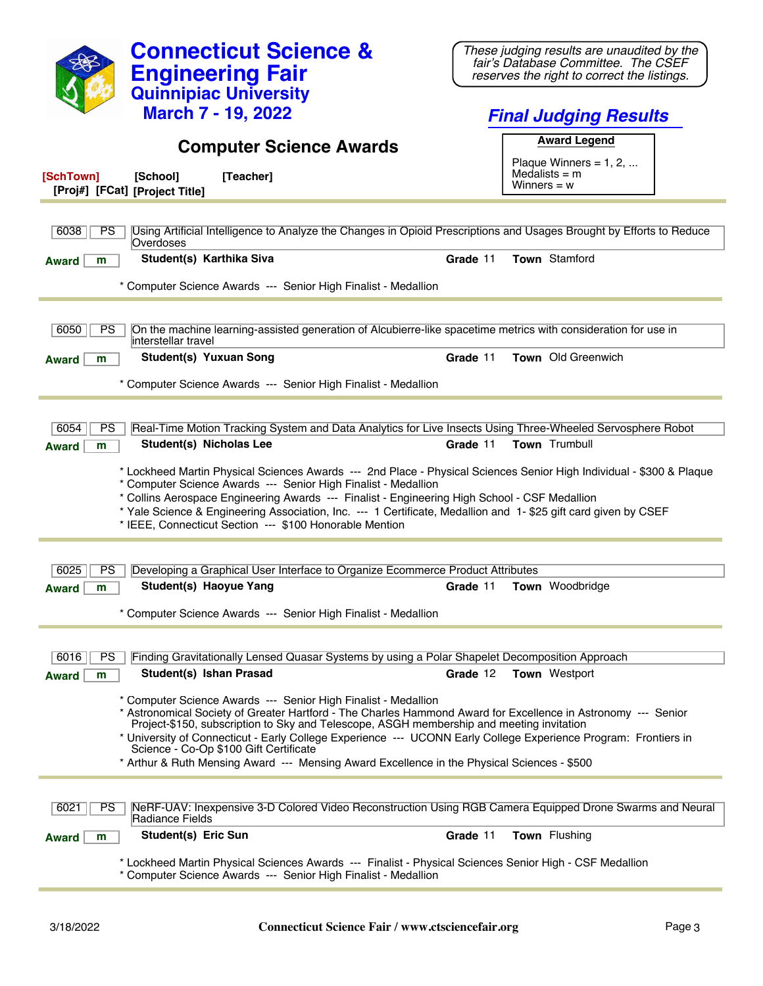| <b>Connecticut Science &amp;</b><br><b>Engineering Fair</b><br><b>Quinnipiac University</b>                                                                                                                                                                                                                                                                                                                                                                                                                                             | These judging results are unaudited by the<br>fair's Database Committee. The CSEF<br>reserves the right to correct the listings. |  |  |
|-----------------------------------------------------------------------------------------------------------------------------------------------------------------------------------------------------------------------------------------------------------------------------------------------------------------------------------------------------------------------------------------------------------------------------------------------------------------------------------------------------------------------------------------|----------------------------------------------------------------------------------------------------------------------------------|--|--|
| <b>March 7 - 19, 2022</b>                                                                                                                                                                                                                                                                                                                                                                                                                                                                                                               | <b>Final Judging Results</b>                                                                                                     |  |  |
| <b>Computer Science Awards</b>                                                                                                                                                                                                                                                                                                                                                                                                                                                                                                          | <b>Award Legend</b>                                                                                                              |  |  |
|                                                                                                                                                                                                                                                                                                                                                                                                                                                                                                                                         | Plaque Winners = $1, 2, $                                                                                                        |  |  |
| [SchTown]<br>[Teacher]<br>[School]<br>[Proj#] [FCat] [Project Title]                                                                                                                                                                                                                                                                                                                                                                                                                                                                    | Medalists $=$ m<br>Winners $= w$                                                                                                 |  |  |
|                                                                                                                                                                                                                                                                                                                                                                                                                                                                                                                                         |                                                                                                                                  |  |  |
| Using Artificial Intelligence to Analyze the Changes in Opioid Prescriptions and Usages Brought by Efforts to Reduce<br>6038<br><b>PS</b><br>Overdoses                                                                                                                                                                                                                                                                                                                                                                                  |                                                                                                                                  |  |  |
| Student(s) Karthika Siva<br><b>Award</b><br>m                                                                                                                                                                                                                                                                                                                                                                                                                                                                                           | Town Stamford<br>Grade 11                                                                                                        |  |  |
| * Computer Science Awards --- Senior High Finalist - Medallion                                                                                                                                                                                                                                                                                                                                                                                                                                                                          |                                                                                                                                  |  |  |
|                                                                                                                                                                                                                                                                                                                                                                                                                                                                                                                                         |                                                                                                                                  |  |  |
| On the machine learning-assisted generation of Alcubierre-like spacetime metrics with consideration for use in<br>6050<br><b>PS</b>                                                                                                                                                                                                                                                                                                                                                                                                     |                                                                                                                                  |  |  |
| interstellar travel<br><b>Student(s) Yuxuan Song</b><br><b>Award</b><br>m                                                                                                                                                                                                                                                                                                                                                                                                                                                               | Town Old Greenwich<br>Grade 11                                                                                                   |  |  |
| * Computer Science Awards --- Senior High Finalist - Medallion                                                                                                                                                                                                                                                                                                                                                                                                                                                                          |                                                                                                                                  |  |  |
|                                                                                                                                                                                                                                                                                                                                                                                                                                                                                                                                         |                                                                                                                                  |  |  |
| Real-Time Motion Tracking System and Data Analytics for Live Insects Using Three-Wheeled Servosphere Robot<br>6054<br>PS                                                                                                                                                                                                                                                                                                                                                                                                                |                                                                                                                                  |  |  |
| Student(s) Nicholas Lee<br><b>Award</b><br>m                                                                                                                                                                                                                                                                                                                                                                                                                                                                                            | <b>Town</b> Trumbull<br>Grade 11                                                                                                 |  |  |
| * Lockheed Martin Physical Sciences Awards --- 2nd Place - Physical Sciences Senior High Individual - \$300 & Plaque<br>* Computer Science Awards --- Senior High Finalist - Medallion<br>* Collins Aerospace Engineering Awards --- Finalist - Engineering High School - CSF Medallion<br>* Yale Science & Engineering Association, Inc. --- 1 Certificate, Medallion and 1-\$25 gift card given by CSEF<br>* IEEE, Connecticut Section --- \$100 Honorable Mention                                                                    |                                                                                                                                  |  |  |
|                                                                                                                                                                                                                                                                                                                                                                                                                                                                                                                                         |                                                                                                                                  |  |  |
| 6025<br>PS<br>Developing a Graphical User Interface to Organize Ecommerce Product Attributes<br>Student(s) Haoyue Yang<br><b>Award</b><br>m                                                                                                                                                                                                                                                                                                                                                                                             | Town Woodbridge<br>Grade 11                                                                                                      |  |  |
|                                                                                                                                                                                                                                                                                                                                                                                                                                                                                                                                         |                                                                                                                                  |  |  |
| * Computer Science Awards --- Senior High Finalist - Medallion                                                                                                                                                                                                                                                                                                                                                                                                                                                                          |                                                                                                                                  |  |  |
| Finding Gravitationally Lensed Quasar Systems by using a Polar Shapelet Decomposition Approach<br>6016<br>PS                                                                                                                                                                                                                                                                                                                                                                                                                            |                                                                                                                                  |  |  |
| Student(s) Ishan Prasad<br><b>Award</b><br>m                                                                                                                                                                                                                                                                                                                                                                                                                                                                                            | Grade 12<br>Town Westport                                                                                                        |  |  |
| * Computer Science Awards --- Senior High Finalist - Medallion<br>* Astronomical Society of Greater Hartford - The Charles Hammond Award for Excellence in Astronomy --- Senior<br>Project-\$150, subscription to Sky and Telescope, ASGH membership and meeting invitation<br>* University of Connecticut - Early College Experience --- UCONN Early College Experience Program: Frontiers in<br>Science - Co-Op \$100 Gift Certificate<br>* Arthur & Ruth Mensing Award --- Mensing Award Excellence in the Physical Sciences - \$500 |                                                                                                                                  |  |  |
|                                                                                                                                                                                                                                                                                                                                                                                                                                                                                                                                         |                                                                                                                                  |  |  |
| NeRF-UAV: Inexpensive 3-D Colored Video Reconstruction Using RGB Camera Equipped Drone Swarms and Neural<br>PS<br>6021<br>Radiance Fields                                                                                                                                                                                                                                                                                                                                                                                               |                                                                                                                                  |  |  |
| <b>Student(s) Eric Sun</b><br><b>Award</b><br>m                                                                                                                                                                                                                                                                                                                                                                                                                                                                                         | Town Flushing<br>Grade 11                                                                                                        |  |  |
| * Lockheed Martin Physical Sciences Awards --- Finalist - Physical Sciences Senior High - CSF Medallion<br>* Computer Science Awards --- Senior High Finalist - Medallion                                                                                                                                                                                                                                                                                                                                                               |                                                                                                                                  |  |  |